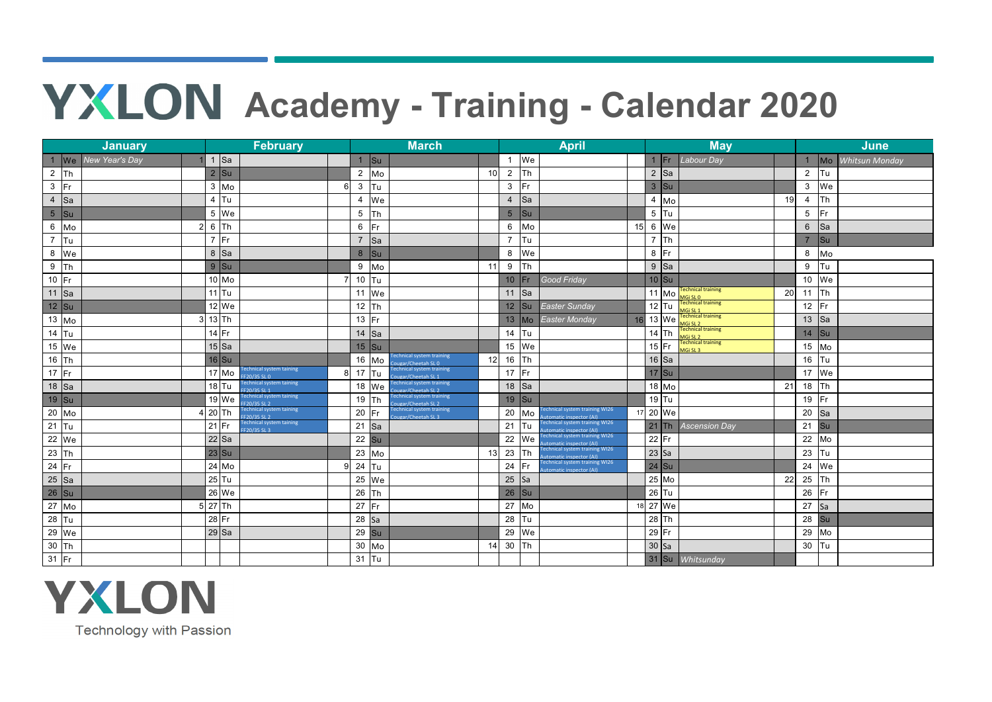## **YXLON** Academy - Training - Calendar 2020

| <b>February</b><br><b>January</b> |                |                |                                                |                | <b>March</b>    |                |                                                         |    | <b>April</b>    |           |                                                                |                 |         | <b>May</b>       |                                                              |    |                  |            | <b>June</b>    |  |  |
|-----------------------------------|----------------|----------------|------------------------------------------------|----------------|-----------------|----------------|---------------------------------------------------------|----|-----------------|-----------|----------------------------------------------------------------|-----------------|---------|------------------|--------------------------------------------------------------|----|------------------|------------|----------------|--|--|
| $\sqrt{w}$                        | New Year's Day | $1$ Sa         |                                                |                |                 | $1$ Su         |                                                         |    |                 | 1 We      |                                                                |                 |         | $1$ Fr           | Labour Day                                                   |    |                  | $\sqrt{M}$ | Whitsun Monday |  |  |
| $\overline{2}$<br><b>Th</b>       |                | $2$ Su         |                                                |                |                 | $2 \text{ Mo}$ |                                                         | 10 | $\overline{2}$  | Th        |                                                                |                 | $2$ Sa  |                  |                                                              |    | $\overline{2}$   | <b>Tu</b>  |                |  |  |
| $\mathbf{3}$<br> Fr               |                | $3 \text{ Mo}$ |                                                | 6              | $\mathbf{3}$    | Tu             |                                                         |    | $\mathbf{3}$    | Fr        |                                                                |                 | $3$ Su  |                  |                                                              |    | $\mathbf{3}$     | We         |                |  |  |
| $\overline{4}$<br>Sa              |                | $4$ Tu         |                                                |                | $\overline{4}$  | We             |                                                         |    | $\overline{4}$  | Sa        |                                                                |                 |         | $4$ Mo           |                                                              | 19 | $\overline{4}$   | <b>Th</b>  |                |  |  |
| $\overline{5}$<br><b>Su</b>       |                | 5 We           |                                                |                | $5\phantom{.0}$ | Th             |                                                         |    | $5\phantom{.}$  | Su        |                                                                |                 | $5$ Tu  |                  |                                                              |    | $\sqrt{5}$       | <b>IFr</b> |                |  |  |
| $6\phantom{.}6$<br>Mo             |                | $6$ Th         |                                                |                | $6\phantom{.}6$ | Fr             |                                                         |    | $6\overline{6}$ | Mo        |                                                                | 15              |         | 6 We             |                                                              |    | $6\phantom{1}6$  | $\sf{Isa}$ |                |  |  |
| $\overline{7}$<br><b>Tu</b>       |                | $7$ Fr         |                                                |                | $\overline{7}$  | <b>Sa</b>      |                                                         |    | $\overline{7}$  | Tu        |                                                                |                 | $7$ Th  |                  |                                                              |    | $\overline{7}$   | Su         |                |  |  |
| $\boldsymbol{8}$<br>We            |                | $8$ Sa         |                                                |                |                 | 8 Su           |                                                         |    | 8               | We        |                                                                |                 | $8$  Fr |                  |                                                              |    | 8                | Mo         |                |  |  |
| $9\,$<br>Th                       |                | $9$ Su         |                                                |                | 9               | Mo             |                                                         | 11 | 9               | Th        |                                                                |                 |         | $9$ Sa           |                                                              |    | $\boldsymbol{9}$ | Tu         |                |  |  |
| $10$ Fr                           |                | 10 Mo          |                                                |                | 10              | <b>Tu</b>      |                                                         |    | 10 <sup>°</sup> | Fr.       | Good Friday                                                    |                 | $10$ Su |                  |                                                              |    |                  | 10 We      |                |  |  |
| $\overline{11}$ Sa                |                | $11$ Tu        |                                                |                |                 | 11 We          |                                                         |    | 11              | Sa        |                                                                |                 |         | $11 \text{ M}_0$ | echnical training<br>MGi SL 0<br>Technical training          | 20 | 11               | Th         |                |  |  |
| $12$ Su                           |                | 12 We          |                                                |                | 12              | <b>Th</b>      |                                                         |    | 12              | Su        | Easter Sunday                                                  |                 | $12$ Tu |                  |                                                              |    | 12               | lFr.       |                |  |  |
| $13$ Mo                           |                | $13$ Th        |                                                |                |                 | 13 $Fr$        |                                                         |    | 13              | Mo        | Easter Monday                                                  | 16              |         | 13 We            | MGi SL 1<br>Technical training<br>MGi SL 2                   |    | 13               | $\vert$ Sa |                |  |  |
| $14$ Tu                           |                | $14$ Fr        |                                                |                |                 | 14 $\vert$ Sa  |                                                         |    | 14              | Tu        |                                                                |                 | $14$ Th |                  | <b>Technical training<br/>MGi SL 2</b><br>Technical training |    | 14               | <b>Su</b>  |                |  |  |
| $15$ We                           |                | $15$ Sa        |                                                |                |                 | $15$ Su        |                                                         |    | 15              | We        |                                                                |                 | $15$ Fr |                  | IGI SI 3 <sub>1</sub>                                        |    | 15               | Mo         |                |  |  |
| 16 Th                             |                | $16$ Su        |                                                |                | 16              | Mo             | echnical system training<br>Cougar/Cheetah SLO          | 12 | 16              | Τh        |                                                                |                 | $16$ Sa |                  |                                                              |    | 16               | <b>Tu</b>  |                |  |  |
| $17$ Fr                           |                | $17$ Mo        | echnical system taining<br>F20/35 SL 0         | 8 <sup>1</sup> |                 | 17 $\vert$ Tu  | Fechnical system training<br>.<br>Ougar/Cheetah SL 1    |    | 17              | Fr        |                                                                |                 | $17$ Su |                  |                                                              |    |                  | 17 We      |                |  |  |
| $18$ Sa                           |                | $18$ Tu        | Fechnical system taining<br>F20/35 SL 1        |                |                 | $18$ We        | <b>Technical system training</b><br>Cougar/Cheetah SL 2 |    | 18              | <b>Sa</b> |                                                                |                 |         | 18 Mo            |                                                              | 21 | 18               | <b>Th</b>  |                |  |  |
| 19 Su                             |                | 19 We          | echnical system taining<br>F20/35 SL 2         |                | 19              | Th             | <b>Technical system training</b><br>ougar/Cheetah SL 2  |    | 19              | Su        |                                                                |                 | $19$ Tu |                  |                                                              |    | 19               | Fr         |                |  |  |
| $20$ Mo                           |                | $20$ Th        | echnical system taining<br>$F20/35$ SL 2       |                | 20              | lFr.           | Technical system training<br>ougar/Cheetah SL3          |    | 20              | Mo        | chnical system training WI26<br><b>itomatic inspector (AI)</b> |                 |         | 17 20 We         |                                                              |    | 20               | Sa         |                |  |  |
| 21<br> Tu                         |                | $21$ Fr        | <b>Fechnical system taining</b><br>F20/35 SL 3 |                |                 | $21$ Sa        |                                                         |    | 21              | Tu        | echnical system training WI26<br>tomatic inspector (AI)        |                 | $21$ Th |                  | <b>Ascension Day</b>                                         |    | 21               | <b>Su</b>  |                |  |  |
| 22 We                             |                | $22$ Sa        |                                                |                |                 | $22$ Su        |                                                         |    | 22              | We        | echnical system training WI26<br>matic inspector (AI)          |                 | $22$ Fr |                  |                                                              |    | 22               | Mo         |                |  |  |
| $23$ Th                           |                | $23$ Su        |                                                |                |                 | $23$ Mo        |                                                         | 13 | 23              | Th        | echnical system training WI26<br>utomatic inspector (AI)       |                 | $23$ Sa |                  |                                                              |    | 23               | <b>Tu</b>  |                |  |  |
| $24$ Fr                           |                | $24$ Mo        |                                                | $\mathsf{Q}$   | 24              | <b>Tu</b>      |                                                         |    | 24              | Fr.       | Technical system training WI26<br>stomatic inspector (AI)      |                 | $24$ Su |                  |                                                              |    | 24               | We         |                |  |  |
| $25$ Sa                           |                | $25$ Tu        |                                                |                | 25              | We             |                                                         |    | $25$ Sa         |           |                                                                |                 | 25 Mo   |                  |                                                              | 22 | 25               | <b>Th</b>  |                |  |  |
| 26 Su                             |                | 26 We          |                                                |                | 26              | <b>Th</b>      |                                                         |    | 26              | Su        |                                                                |                 | $26$ Tu |                  |                                                              |    | 26               | Fr         |                |  |  |
| $27$ Mo                           |                | $27$ Th        |                                                |                | $27\,$          | <b>Fr</b>      |                                                         |    | 27              | Mo        |                                                                | 18 <sup>1</sup> | 27 We   |                  |                                                              |    | 27               | <b>Sa</b>  |                |  |  |
| $28$ Tu                           |                | $28$ Fr        |                                                |                | $28$ Sa         |                |                                                         |    | 28              | Гu        |                                                                |                 | $28$ Th |                  |                                                              |    | 28               | <b>Su</b>  |                |  |  |
| 29 We                             |                | $29$ Sa        |                                                |                |                 | $29$ Su        |                                                         |    | 29              | We        |                                                                |                 | $29$ Fr |                  |                                                              |    | 29               | Mo         |                |  |  |
| $30$ Th                           |                |                |                                                |                | 30 <sup>°</sup> | Mo             |                                                         | 14 | $30\,$          | Th        |                                                                |                 | $30$ Sa |                  |                                                              |    | 30 $\vert$ Tu    |            |                |  |  |
| $31$ Fr                           |                |                |                                                |                |                 | 31 $\vert$ Tu  |                                                         |    |                 |           |                                                                |                 |         |                  | 31 Su Whitsunday                                             |    |                  |            |                |  |  |